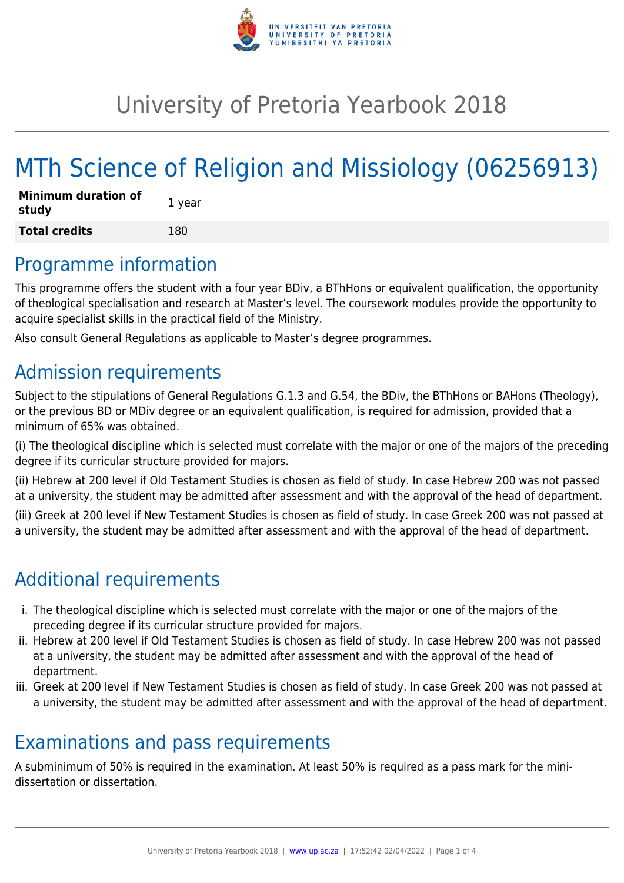

## University of Pretoria Yearbook 2018

# MTh Science of Religion and Missiology (06256913)

| <b>Minimum duration of</b><br>study | 1 year |
|-------------------------------------|--------|
| <b>Total credits</b>                | 180    |

### Programme information

This programme offers the student with a four year BDiv, a BThHons or equivalent qualification, the opportunity of theological specialisation and research at Master's level. The coursework modules provide the opportunity to acquire specialist skills in the practical field of the Ministry.

Also consult General Regulations as applicable to Master's degree programmes.

### Admission requirements

Subject to the stipulations of General Regulations G.1.3 and G.54, the BDiv, the BThHons or BAHons (Theology), or the previous BD or MDiv degree or an equivalent qualification, is required for admission, provided that a minimum of 65% was obtained.

(i) The theological discipline which is selected must correlate with the major or one of the majors of the preceding degree if its curricular structure provided for majors.

(ii) Hebrew at 200 level if Old Testament Studies is chosen as field of study. In case Hebrew 200 was not passed at a university, the student may be admitted after assessment and with the approval of the head of department.

(iii) Greek at 200 level if New Testament Studies is chosen as field of study. In case Greek 200 was not passed at a university, the student may be admitted after assessment and with the approval of the head of department.

### Additional requirements

- i. The theological discipline which is selected must correlate with the major or one of the majors of the preceding degree if its curricular structure provided for majors.
- ii. Hebrew at 200 level if Old Testament Studies is chosen as field of study. In case Hebrew 200 was not passed at a university, the student may be admitted after assessment and with the approval of the head of department.
- iii. Greek at 200 level if New Testament Studies is chosen as field of study. In case Greek 200 was not passed at a university, the student may be admitted after assessment and with the approval of the head of department.

### Examinations and pass requirements

A subminimum of 50% is required in the examination. At least 50% is required as a pass mark for the minidissertation or dissertation.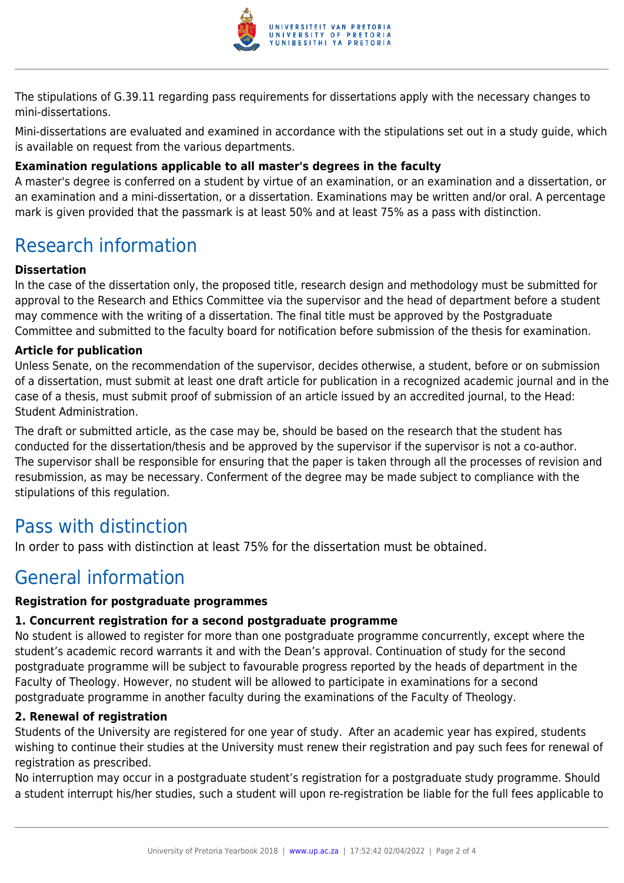

The stipulations of G.39.11 regarding pass requirements for dissertations apply with the necessary changes to mini-dissertations.

Mini-dissertations are evaluated and examined in accordance with the stipulations set out in a study guide, which is available on request from the various departments.

#### **Examination regulations applicable to all master's degrees in the faculty**

A master's degree is conferred on a student by virtue of an examination, or an examination and a dissertation, or an examination and a mini-dissertation, or a dissertation. Examinations may be written and/or oral. A percentage mark is given provided that the passmark is at least 50% and at least 75% as a pass with distinction.

### Research information

#### **Dissertation**

In the case of the dissertation only, the proposed title, research design and methodology must be submitted for approval to the Research and Ethics Committee via the supervisor and the head of department before a student may commence with the writing of a dissertation. The final title must be approved by the Postgraduate Committee and submitted to the faculty board for notification before submission of the thesis for examination.

#### **Article for publication**

Unless Senate, on the recommendation of the supervisor, decides otherwise, a student, before or on submission of a dissertation, must submit at least one draft article for publication in a recognized academic journal and in the case of a thesis, must submit proof of submission of an article issued by an accredited journal, to the Head: Student Administration.

The draft or submitted article, as the case may be, should be based on the research that the student has conducted for the dissertation/thesis and be approved by the supervisor if the supervisor is not a co-author. The supervisor shall be responsible for ensuring that the paper is taken through all the processes of revision and resubmission, as may be necessary. Conferment of the degree may be made subject to compliance with the stipulations of this regulation.

### Pass with distinction

In order to pass with distinction at least 75% for the dissertation must be obtained.

### General information

#### **Registration for postgraduate programmes**

#### **1. Concurrent registration for a second postgraduate programme**

No student is allowed to register for more than one postgraduate programme concurrently, except where the student's academic record warrants it and with the Dean's approval. Continuation of study for the second postgraduate programme will be subject to favourable progress reported by the heads of department in the Faculty of Theology. However, no student will be allowed to participate in examinations for a second postgraduate programme in another faculty during the examinations of the Faculty of Theology.

#### **2. Renewal of registration**

Students of the University are registered for one year of study. After an academic year has expired, students wishing to continue their studies at the University must renew their registration and pay such fees for renewal of registration as prescribed.

No interruption may occur in a postgraduate student's registration for a postgraduate study programme. Should a student interrupt his/her studies, such a student will upon re-registration be liable for the full fees applicable to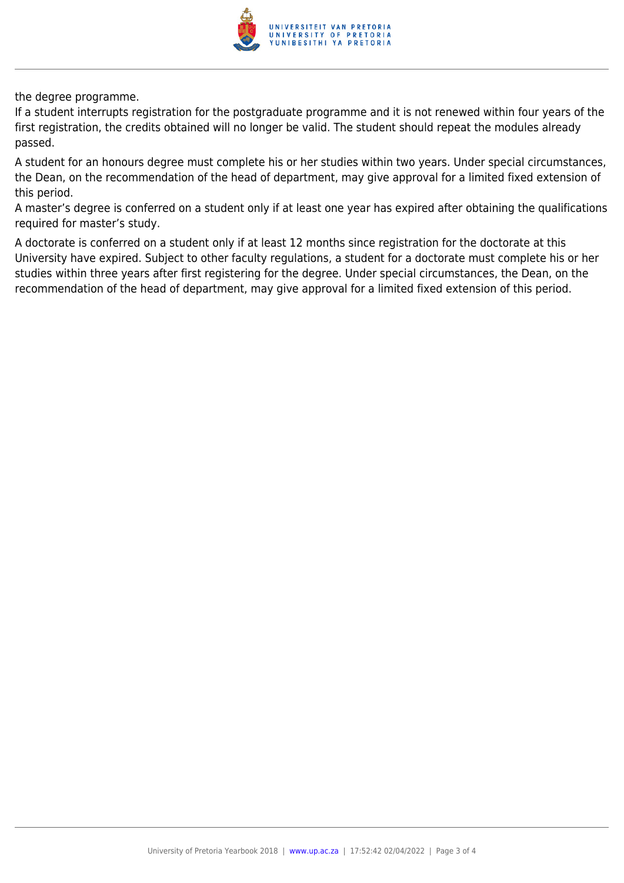

the degree programme.

If a student interrupts registration for the postgraduate programme and it is not renewed within four years of the first registration, the credits obtained will no longer be valid. The student should repeat the modules already passed.

A student for an honours degree must complete his or her studies within two years. Under special circumstances, the Dean, on the recommendation of the head of department, may give approval for a limited fixed extension of this period.

A master's degree is conferred on a student only if at least one year has expired after obtaining the qualifications required for master's study.

A doctorate is conferred on a student only if at least 12 months since registration for the doctorate at this University have expired. Subject to other faculty regulations, a student for a doctorate must complete his or her studies within three years after first registering for the degree. Under special circumstances, the Dean, on the recommendation of the head of department, may give approval for a limited fixed extension of this period.